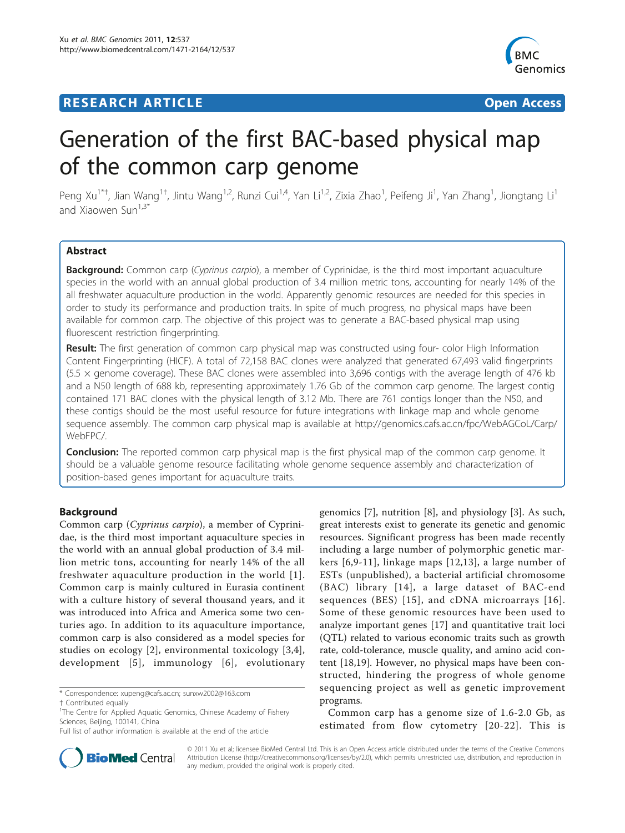# **RESEARCH ARTICLE Example 2018 CONSUMING ACCESS**



# Generation of the first BAC-based physical map of the common carp genome

Peng Xu<sup>1\*†</sup>, Jian Wang<sup>1†</sup>, Jintu Wang<sup>1,2</sup>, Runzi Cui<sup>1,4</sup>, Yan Li<sup>1,2</sup>, Zixia Zhao<sup>1</sup>, Peifeng Ji<sup>1</sup>, Yan Zhang<sup>1</sup>, Jiongtang Li<sup>1</sup> and Xiaowen  $\sin^{1,3*}$ 

# Abstract

Background: Common carp (Cyprinus carpio), a member of Cyprinidae, is the third most important aquaculture species in the world with an annual global production of 3.4 million metric tons, accounting for nearly 14% of the all freshwater aquaculture production in the world. Apparently genomic resources are needed for this species in order to study its performance and production traits. In spite of much progress, no physical maps have been available for common carp. The objective of this project was to generate a BAC-based physical map using fluorescent restriction fingerprinting.

Result: The first generation of common carp physical map was constructed using four- color High Information Content Fingerprinting (HICF). A total of 72,158 BAC clones were analyzed that generated 67,493 valid fingerprints (5.5 × genome coverage). These BAC clones were assembled into 3,696 contigs with the average length of 476 kb and a N50 length of 688 kb, representing approximately 1.76 Gb of the common carp genome. The largest contig contained 171 BAC clones with the physical length of 3.12 Mb. There are 761 contigs longer than the N50, and these contigs should be the most useful resource for future integrations with linkage map and whole genome sequence assembly. The common carp physical map is available at [http://genomics.cafs.ac.cn/fpc/WebAGCoL/Carp/](http://genomics.cafs.ac.cn/fpc/WebAGCoL/Carp/WebFPC/) [WebFPC/](http://genomics.cafs.ac.cn/fpc/WebAGCoL/Carp/WebFPC/).

**Conclusion:** The reported common carp physical map is the first physical map of the common carp genome. It should be a valuable genome resource facilitating whole genome sequence assembly and characterization of position-based genes important for aquaculture traits.

## Background

Common carp (Cyprinus carpio), a member of Cyprinidae, is the third most important aquaculture species in the world with an annual global production of 3.4 million metric tons, accounting for nearly 14% of the all freshwater aquaculture production in the world [\[1\]](#page-6-0). Common carp is mainly cultured in Eurasia continent with a culture history of several thousand years, and it was introduced into Africa and America some two centuries ago. In addition to its aquaculture importance, common carp is also considered as a model species for studies on ecology [[2\]](#page-6-0), environmental toxicology [[3,4](#page-6-0)], development [[5\]](#page-6-0), immunology [[6](#page-6-0)], evolutionary

genomics [\[7](#page-6-0)], nutrition [\[8](#page-6-0)], and physiology [[3\]](#page-6-0). As such, great interests exist to generate its genetic and genomic resources. Significant progress has been made recently including a large number of polymorphic genetic markers [\[6](#page-6-0),[9-11](#page-6-0)], linkage maps [[12,13\]](#page-6-0), a large number of ESTs (unpublished), a bacterial artificial chromosome (BAC) library [[14](#page-6-0)], a large dataset of BAC-end sequences (BES) [[15\]](#page-6-0), and cDNA microarrays [[16\]](#page-6-0). Some of these genomic resources have been used to analyze important genes [[17](#page-6-0)] and quantitative trait loci (QTL) related to various economic traits such as growth rate, cold-tolerance, muscle quality, and amino acid content [[18](#page-6-0),[19](#page-6-0)]. However, no physical maps have been constructed, hindering the progress of whole genome sequencing project as well as genetic improvement programs.

Common carp has a genome size of 1.6-2.0 Gb, as estimated from flow cytometry [[20-22](#page-6-0)]. This is



© 2011 Xu et al; licensee BioMed Central Ltd. This is an Open Access article distributed under the terms of the Creative Commons Attribution License [\(http://creativecommons.org/licenses/by/2.0](http://creativecommons.org/licenses/by/2.0)), which permits unrestricted use, distribution, and reproduction in any medium, provided the original work is properly cited.

<sup>\*</sup> Correspondence: [xupeng@cafs.ac.cn;](mailto:xupeng@cafs.ac.cn) [sunxw2002@163.com](mailto:sunxw2002@163.com)

<sup>†</sup> Contributed equally <sup>1</sup>

<sup>&</sup>lt;sup>1</sup>The Centre for Applied Aquatic Genomics, Chinese Academy of Fishery Sciences, Beijing, 100141, China

Full list of author information is available at the end of the article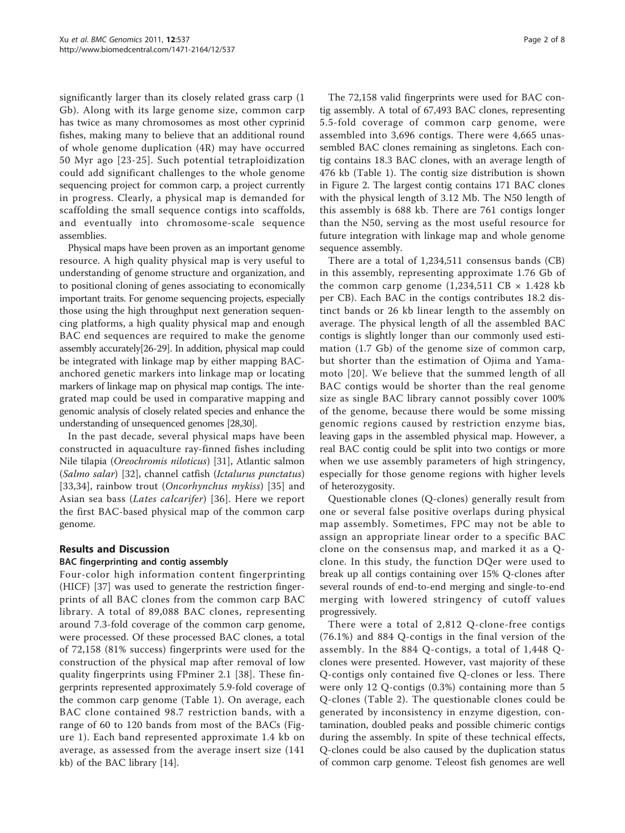significantly larger than its closely related grass carp (1 Gb). Along with its large genome size, common carp has twice as many chromosomes as most other cyprinid fishes, making many to believe that an additional round of whole genome duplication (4R) may have occurred 50 Myr ago [[23-25](#page-6-0)]. Such potential tetraploidization could add significant challenges to the whole genome sequencing project for common carp, a project currently in progress. Clearly, a physical map is demanded for scaffolding the small sequence contigs into scaffolds, and eventually into chromosome-scale sequence assemblies.

Physical maps have been proven as an important genome resource. A high quality physical map is very useful to understanding of genome structure and organization, and to positional cloning of genes associating to economically important traits. For genome sequencing projects, especially those using the high throughput next generation sequencing platforms, a high quality physical map and enough BAC end sequences are required to make the genome assembly accurately[[26](#page-6-0)-[29](#page-6-0)]. In addition, physical map could be integrated with linkage map by either mapping BACanchored genetic markers into linkage map or locating markers of linkage map on physical map contigs. The integrated map could be used in comparative mapping and genomic analysis of closely related species and enhance the understanding of unsequenced genomes [\[28,30\]](#page-6-0).

In the past decade, several physical maps have been constructed in aquaculture ray-finned fishes including Nile tilapia (Oreochromis niloticus) [[31\]](#page-6-0), Atlantic salmon (Salmo salar) [\[32](#page-6-0)], channel catfish (Ictalurus punctatus) [[33](#page-6-0),[34\]](#page-6-0), rainbow trout (Oncorhynchus mykiss) [\[35](#page-6-0)] and Asian sea bass (Lates calcarifer) [[36\]](#page-6-0). Here we report the first BAC-based physical map of the common carp genome.

## Results and Discussion

## BAC fingerprinting and contig assembly

Four-color high information content fingerprinting (HICF) [[37\]](#page-7-0) was used to generate the restriction fingerprints of all BAC clones from the common carp BAC library. A total of 89,088 BAC clones, representing around 7.3-fold coverage of the common carp genome, were processed. Of these processed BAC clones, a total of 72,158 (81% success) fingerprints were used for the construction of the physical map after removal of low quality fingerprints using FPminer 2.1 [\[38\]](#page-7-0). These fingerprints represented approximately 5.9-fold coverage of the common carp genome (Table [1](#page-2-0)). On average, each BAC clone contained 98.7 restriction bands, with a range of 60 to 120 bands from most of the BACs (Figure [1\)](#page-2-0). Each band represented approximate 1.4 kb on average, as assessed from the average insert size (141 kb) of the BAC library [[14](#page-6-0)].

The 72,158 valid fingerprints were used for BAC contig assembly. A total of 67,493 BAC clones, representing 5.5-fold coverage of common carp genome, were assembled into 3,696 contigs. There were 4,665 unassembled BAC clones remaining as singletons. Each contig contains 18.3 BAC clones, with an average length of 476 kb (Table [1](#page-2-0)). The contig size distribution is shown in Figure [2](#page-2-0). The largest contig contains 171 BAC clones with the physical length of 3.12 Mb. The N50 length of this assembly is 688 kb. There are 761 contigs longer than the N50, serving as the most useful resource for future integration with linkage map and whole genome sequence assembly.

There are a total of 1,234,511 consensus bands (CB) in this assembly, representing approximate 1.76 Gb of the common carp genome  $(1,234,511 \text{ CB} \times 1.428 \text{ kb})$ per CB). Each BAC in the contigs contributes 18.2 distinct bands or 26 kb linear length to the assembly on average. The physical length of all the assembled BAC contigs is slightly longer than our commonly used estimation (1.7 Gb) of the genome size of common carp, but shorter than the estimation of Ojima and Yamamoto [[20\]](#page-6-0). We believe that the summed length of all BAC contigs would be shorter than the real genome size as single BAC library cannot possibly cover 100% of the genome, because there would be some missing genomic regions caused by restriction enzyme bias, leaving gaps in the assembled physical map. However, a real BAC contig could be split into two contigs or more when we use assembly parameters of high stringency, especially for those genome regions with higher levels of heterozygosity.

Questionable clones (Q-clones) generally result from one or several false positive overlaps during physical map assembly. Sometimes, FPC may not be able to assign an appropriate linear order to a specific BAC clone on the consensus map, and marked it as a Qclone. In this study, the function DQer were used to break up all contigs containing over 15% Q-clones after several rounds of end-to-end merging and single-to-end merging with lowered stringency of cutoff values progressively.

There were a total of 2,812 Q-clone-free contigs (76.1%) and 884 Q-contigs in the final version of the assembly. In the 884 Q-contigs, a total of 1,448 Qclones were presented. However, vast majority of these Q-contigs only contained five Q-clones or less. There were only 12 Q-contigs (0.3%) containing more than 5 Q-clones (Table [2](#page-3-0)). The questionable clones could be generated by inconsistency in enzyme digestion, contamination, doubled peaks and possible chimeric contigs during the assembly. In spite of these technical effects, Q-clones could be also caused by the duplication status of common carp genome. Teleost fish genomes are well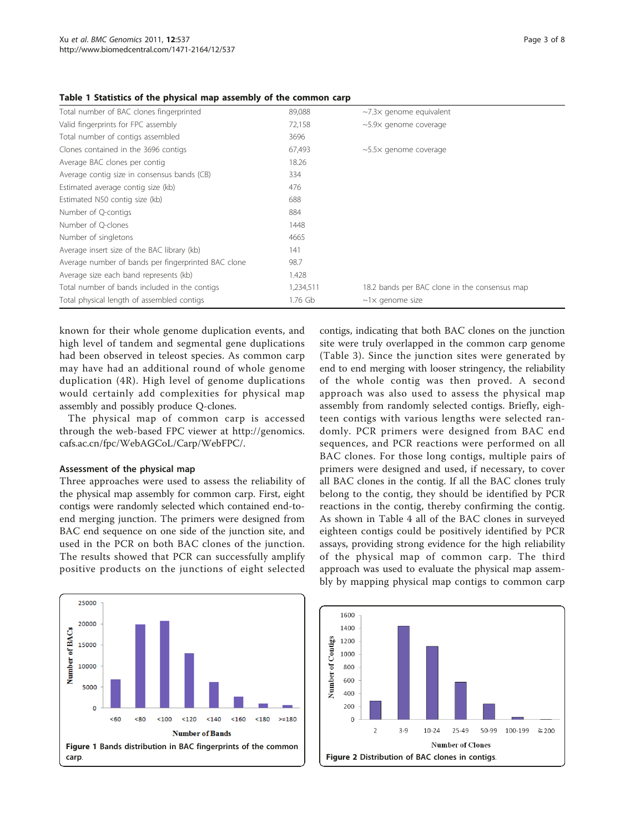| Total number of BAC clones fingerprinted            | 89,088    | $\sim$ 7.3 $\times$ genome equivalent         |
|-----------------------------------------------------|-----------|-----------------------------------------------|
| Valid fingerprints for FPC assembly                 | 72,158    | $\sim$ 5.9 $\times$ genome coverage           |
| Total number of contigs assembled                   | 3696      |                                               |
| Clones contained in the 3696 contigs                | 67,493    | $\sim$ 5.5 $\times$ genome coverage           |
| Average BAC clones per contig                       | 18.26     |                                               |
| Average contig size in consensus bands (CB)         | 334       |                                               |
| Estimated average contig size (kb)                  | 476       |                                               |
| Estimated N50 contig size (kb)                      | 688       |                                               |
| Number of Q-contigs                                 | 884       |                                               |
| Number of Q-clones                                  | 1448      |                                               |
| Number of singletons                                | 4665      |                                               |
| Average insert size of the BAC library (kb)         | 141       |                                               |
| Average number of bands per fingerprinted BAC clone | 98.7      |                                               |
| Average size each band represents (kb)              | 1.428     |                                               |
| Total number of bands included in the contigs       | 1,234,511 | 18.2 bands per BAC clone in the consensus map |
| Total physical length of assembled contigs          | 1.76 Gb   | $~\sim$ 1 $\times$ genome size                |

#### <span id="page-2-0"></span>Table 1 Statistics of the physical map assembly of the common carp

known for their whole genome duplication events, and high level of tandem and segmental gene duplications had been observed in teleost species. As common carp may have had an additional round of whole genome duplication (4R). High level of genome duplications would certainly add complexities for physical map assembly and possibly produce Q-clones.

The physical map of common carp is accessed through the web-based FPC viewer at [http://genomics.](http://genomics.cafs.ac.cn/fpc/WebAGCoL/Carp/WebFPC/.) [cafs.ac.cn/fpc/WebAGCoL/Carp/WebFPC/.](http://genomics.cafs.ac.cn/fpc/WebAGCoL/Carp/WebFPC/.)

#### Assessment of the physical map

Three approaches were used to assess the reliability of the physical map assembly for common carp. First, eight contigs were randomly selected which contained end-toend merging junction. The primers were designed from BAC end sequence on one side of the junction site, and used in the PCR on both BAC clones of the junction. The results showed that PCR can successfully amplify positive products on the junctions of eight selected contigs, indicating that both BAC clones on the junction site were truly overlapped in the common carp genome (Table [3\)](#page-3-0). Since the junction sites were generated by end to end merging with looser stringency, the reliability of the whole contig was then proved. A second approach was also used to assess the physical map assembly from randomly selected contigs. Briefly, eighteen contigs with various lengths were selected randomly. PCR primers were designed from BAC end sequences, and PCR reactions were performed on all BAC clones. For those long contigs, multiple pairs of primers were designed and used, if necessary, to cover all BAC clones in the contig. If all the BAC clones truly belong to the contig, they should be identified by PCR reactions in the contig, thereby confirming the contig. As shown in Table [4](#page-4-0) all of the BAC clones in surveyed eighteen contigs could be positively identified by PCR assays, providing strong evidence for the high reliability of the physical map of common carp. The third approach was used to evaluate the physical map assembly by mapping physical map contigs to common carp



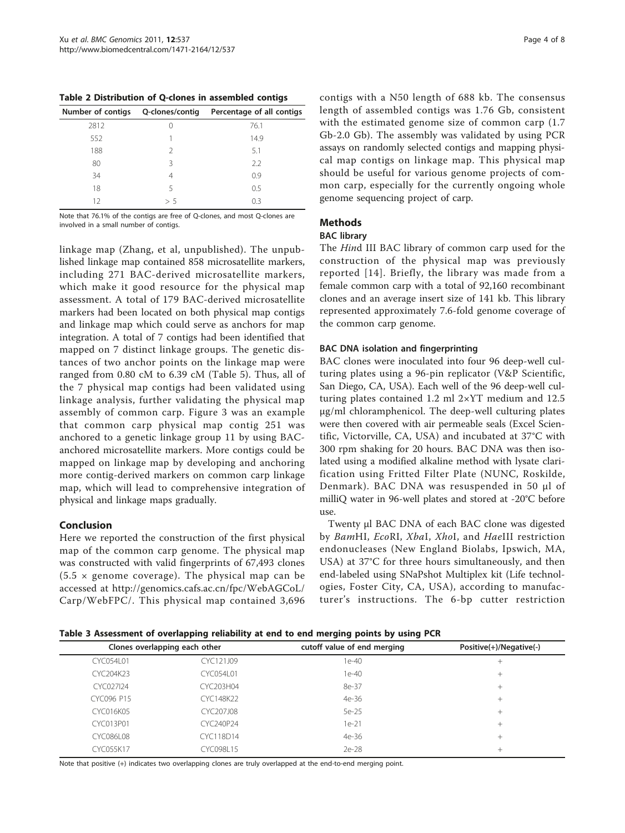<span id="page-3-0"></span>Table 2 Distribution of Q-clones in assembled contigs

| Number of contigs Q-clones/contig |     | Percentage of all contigs |
|-----------------------------------|-----|---------------------------|
| 2812                              |     | 76.1                      |
| 552                               |     | 14.9                      |
| 188                               | 2   | 5.1                       |
| 80                                | ζ   | 2.2                       |
| 34                                | 4   | 0.9                       |
| 18                                | 5   | 0.5                       |
| 12                                | > 5 | 0.3                       |

Note that 76.1% of the contigs are free of Q-clones, and most Q-clones are involved in a small number of contigs.

linkage map (Zhang, et al, unpublished). The unpublished linkage map contained 858 microsatellite markers, including 271 BAC-derived microsatellite markers, which make it good resource for the physical map assessment. A total of 179 BAC-derived microsatellite markers had been located on both physical map contigs and linkage map which could serve as anchors for map integration. A total of 7 contigs had been identified that mapped on 7 distinct linkage groups. The genetic distances of two anchor points on the linkage map were ranged from 0.80 cM to 6.39 cM (Table [5\)](#page-4-0). Thus, all of the 7 physical map contigs had been validated using linkage analysis, further validating the physical map assembly of common carp. Figure [3](#page-5-0) was an example that common carp physical map contig 251 was anchored to a genetic linkage group 11 by using BACanchored microsatellite markers. More contigs could be mapped on linkage map by developing and anchoring more contig-derived markers on common carp linkage map, which will lead to comprehensive integration of physical and linkage maps gradually.

## Conclusion

Here we reported the construction of the first physical map of the common carp genome. The physical map was constructed with valid fingerprints of 67,493 clones  $(5.5 \times$  genome coverage). The physical map can be accessed at [http://genomics.cafs.ac.cn/fpc/WebAGCoL/](http://genomics.cafs.ac.cn/fpc/WebAGCoL/Carp/WebFPC/) [Carp/WebFPC/.](http://genomics.cafs.ac.cn/fpc/WebAGCoL/Carp/WebFPC/) This physical map contained 3,696 contigs with a N50 length of 688 kb. The consensus length of assembled contigs was 1.76 Gb, consistent with the estimated genome size of common carp (1.7 Gb-2.0 Gb). The assembly was validated by using PCR assays on randomly selected contigs and mapping physical map contigs on linkage map. This physical map should be useful for various genome projects of common carp, especially for the currently ongoing whole genome sequencing project of carp.

# Methods

# BAC library

The Hind III BAC library of common carp used for the construction of the physical map was previously reported [[14\]](#page-6-0). Briefly, the library was made from a female common carp with a total of 92,160 recombinant clones and an average insert size of 141 kb. This library represented approximately 7.6-fold genome coverage of the common carp genome.

## BAC DNA isolation and fingerprinting

BAC clones were inoculated into four 96 deep-well culturing plates using a 96-pin replicator (V&P Scientific, San Diego, CA, USA). Each well of the 96 deep-well culturing plates contained 1.2 ml 2×YT medium and 12.5 μg/ml chloramphenicol. The deep-well culturing plates were then covered with air permeable seals (Excel Scientific, Victorville, CA, USA) and incubated at 37°C with 300 rpm shaking for 20 hours. BAC DNA was then isolated using a modified alkaline method with lysate clarification using Fritted Filter Plate (NUNC, Roskilde, Denmark). BAC DNA was resuspended in 50 μl of milliQ water in 96-well plates and stored at -20°C before  $11S<sub>P</sub>$ 

Twenty μl BAC DNA of each BAC clone was digested by BamHI, EcoRI, XbaI, XhoI, and HaeIII restriction endonucleases (New England Biolabs, Ipswich, MA, USA) at 37°C for three hours simultaneously, and then end-labeled using SNaPshot Multiplex kit (Life technologies, Foster City, CA, USA), according to manufacturer's instructions. The 6-bp cutter restriction

Table 3 Assessment of overlapping reliability at end to end merging points by using PCR

|                  | Clones overlapping each other | cutoff value of end merging | Positive(+)/Negative(-) |
|------------------|-------------------------------|-----------------------------|-------------------------|
| CYC054L01        | CYC121J09                     | 1e-40                       |                         |
| CYC204K23        | CYC054L01                     | 1e-40                       | $+$                     |
| CYC027I24        | CYC203H04                     | 8e-37                       | $^+$                    |
| CYC096 P15       | CYC148K22                     | 4e-36                       | ┶                       |
| CYC016K05        | CYC207J08                     | 5e-25                       | $\pm$                   |
| CYC013P01        | CYC240P24                     | $1e-21$                     | ┶                       |
| <b>CYC086L08</b> | CYC118D14                     | 4e-36                       | $\pm$                   |
| CYC055K17        | CYC098L15                     | 2e-28                       |                         |

Note that positive (+) indicates two overlapping clones are truly overlapped at the end-to-end merging point.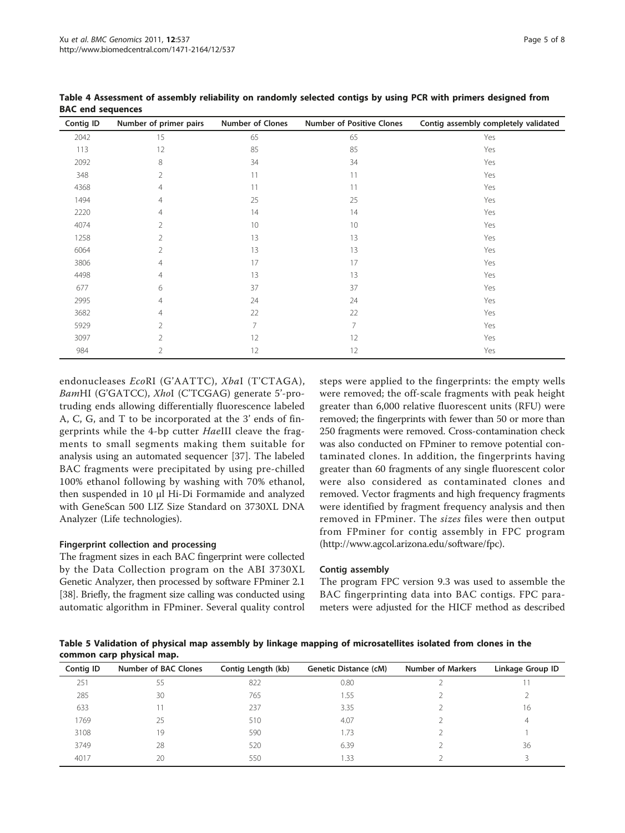| Contig ID | Number of primer pairs | <b>Number of Clones</b> | <b>Number of Positive Clones</b> | Contig assembly completely validated |
|-----------|------------------------|-------------------------|----------------------------------|--------------------------------------|
| 2042      | 15                     | 65                      | 65                               | Yes                                  |
| 113       | 12                     | 85                      | 85                               | Yes                                  |
| 2092      | 8                      | 34                      | 34                               | Yes                                  |
| 348       | 2                      | 11                      | 11                               | Yes                                  |
| 4368      | 4                      | 11                      | 11                               | Yes                                  |
| 1494      | 4                      | 25                      | 25                               | Yes                                  |
| 2220      | 4                      | 14                      | 14                               | Yes                                  |
| 4074      | 2                      | 10                      | 10                               | Yes                                  |
| 1258      | 2                      | 13                      | 13                               | Yes                                  |
| 6064      | 2                      | 13                      | 13                               | Yes                                  |
| 3806      | 4                      | 17                      | 17                               | Yes                                  |
| 4498      | 4                      | 13                      | 13                               | Yes                                  |
| 677       | 6                      | 37                      | 37                               | Yes                                  |
| 2995      | 4                      | 24                      | 24                               | Yes                                  |
| 3682      | 4                      | 22                      | 22                               | Yes                                  |
| 5929      | $\overline{2}$         | $\overline{7}$          | 7                                | Yes                                  |
| 3097      | $\mathfrak{D}$         | 12                      | 12                               | Yes                                  |
| 984       | 2                      | 12                      | 12                               | Yes                                  |

<span id="page-4-0"></span>Table 4 Assessment of assembly reliability on randomly selected contigs by using PCR with primers designed from BAC end sequences

endonucleases EcoRI (G'AATTC), XbaI (T'CTAGA), BamHI (G'GATCC), XhoI (C'TCGAG) generate 5'-protruding ends allowing differentially fluorescence labeled A, C, G, and T to be incorporated at the 3' ends of fingerprints while the 4-bp cutter HaeIII cleave the fragments to small segments making them suitable for analysis using an automated sequencer [[37\]](#page-7-0). The labeled BAC fragments were precipitated by using pre-chilled 100% ethanol following by washing with 70% ethanol, then suspended in 10 μl Hi-Di Formamide and analyzed with GeneScan 500 LIZ Size Standard on 3730XL DNA Analyzer (Life technologies).

## Fingerprint collection and processing

The fragment sizes in each BAC fingerprint were collected by the Data Collection program on the ABI 3730XL Genetic Analyzer, then processed by software FPminer 2.1 [[38](#page-7-0)]. Briefly, the fragment size calling was conducted using automatic algorithm in FPminer. Several quality control

steps were applied to the fingerprints: the empty wells were removed; the off-scale fragments with peak height greater than 6,000 relative fluorescent units (RFU) were removed; the fingerprints with fewer than 50 or more than 250 fragments were removed. Cross-contamination check was also conducted on FPminer to remove potential contaminated clones. In addition, the fingerprints having greater than 60 fragments of any single fluorescent color were also considered as contaminated clones and removed. Vector fragments and high frequency fragments were identified by fragment frequency analysis and then removed in FPminer. The sizes files were then output from FPminer for contig assembly in FPC program ([http://www.agcol.arizona.edu/software/fpc\)](http://www.agcol.arizona.edu/software/fpc).

## Contig assembly

The program FPC version 9.3 was used to assemble the BAC fingerprinting data into BAC contigs. FPC parameters were adjusted for the HICF method as described

Table 5 Validation of physical map assembly by linkage mapping of microsatellites isolated from clones in the common carp physical map.

| Contig ID | Number of BAC Clones | Contig Length (kb) | <b>Genetic Distance (cM)</b> | <b>Number of Markers</b> | Linkage Group ID |
|-----------|----------------------|--------------------|------------------------------|--------------------------|------------------|
| 251       | 55                   | 822                | 0.80                         |                          |                  |
| 285       | 30                   | 765                | 1.55                         |                          |                  |
| 633       |                      | 237                | 3.35                         |                          | 16               |
| 1769      | 25                   | 510                | 4.07                         |                          |                  |
| 3108      | 19                   | 590                | 1.73                         |                          |                  |
| 3749      | 28                   | 520                | 6.39                         |                          | 36               |
| 4017      | 20                   | 550                | .33                          |                          |                  |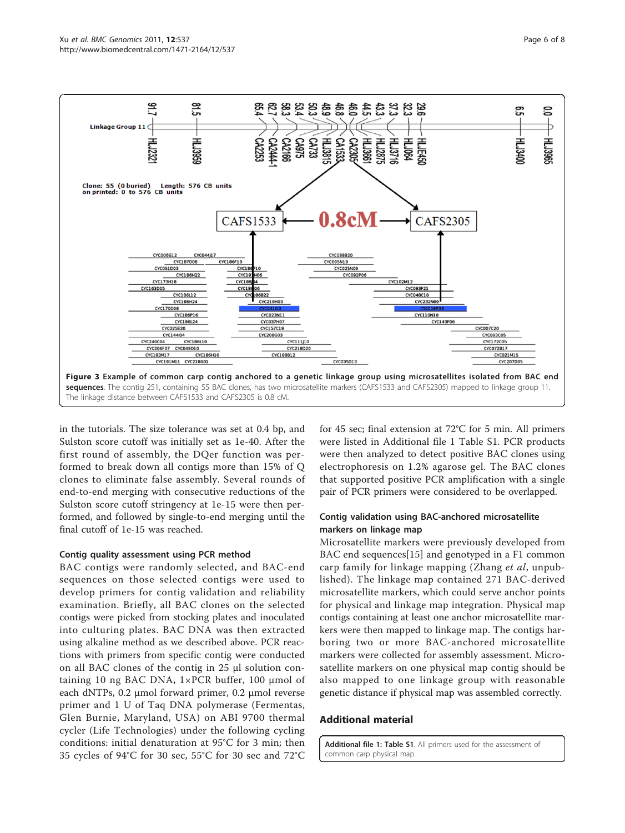<span id="page-5-0"></span>

in the tutorials. The size tolerance was set at 0.4 bp, and Sulston score cutoff was initially set as 1e-40. After the first round of assembly, the DQer function was performed to break down all contigs more than 15% of Q clones to eliminate false assembly. Several rounds of end-to-end merging with consecutive reductions of the Sulston score cutoff stringency at 1e-15 were then performed, and followed by single-to-end merging until the final cutoff of 1e-15 was reached.

## Contig quality assessment using PCR method

BAC contigs were randomly selected, and BAC-end sequences on those selected contigs were used to develop primers for contig validation and reliability examination. Briefly, all BAC clones on the selected contigs were picked from stocking plates and inoculated into culturing plates. BAC DNA was then extracted using alkaline method as we described above. PCR reactions with primers from specific contig were conducted on all BAC clones of the contig in 25 μl solution containing 10 ng BAC DNA, 1×PCR buffer, 100 μmol of each dNTPs, 0.2 μmol forward primer, 0.2 μmol reverse primer and 1 U of Taq DNA polymerase (Fermentas, Glen Burnie, Maryland, USA) on ABI 9700 thermal cycler (Life Technologies) under the following cycling conditions: initial denaturation at 95°C for 3 min; then 35 cycles of 94°C for 30 sec, 55°C for 30 sec and 72°C

for 45 sec; final extension at 72°C for 5 min. All primers were listed in Additional file 1 Table S1. PCR products were then analyzed to detect positive BAC clones using electrophoresis on 1.2% agarose gel. The BAC clones that supported positive PCR amplification with a single pair of PCR primers were considered to be overlapped.

# Contig validation using BAC-anchored microsatellite markers on linkage map

Microsatellite markers were previously developed from BAC end sequences[[15](#page-6-0)] and genotyped in a F1 common carp family for linkage mapping (Zhang et al, unpublished). The linkage map contained 271 BAC-derived microsatellite markers, which could serve anchor points for physical and linkage map integration. Physical map contigs containing at least one anchor microsatellite markers were then mapped to linkage map. The contigs harboring two or more BAC-anchored microsatellite markers were collected for assembly assessment. Microsatellite markers on one physical map contig should be also mapped to one linkage group with reasonable genetic distance if physical map was assembled correctly.

# Additional material

[Additional file 1: T](http://www.biomedcentral.com/content/supplementary/1471-2164-12-537-S1.DOC)able S1. All primers used for the assessment of common carp physical map.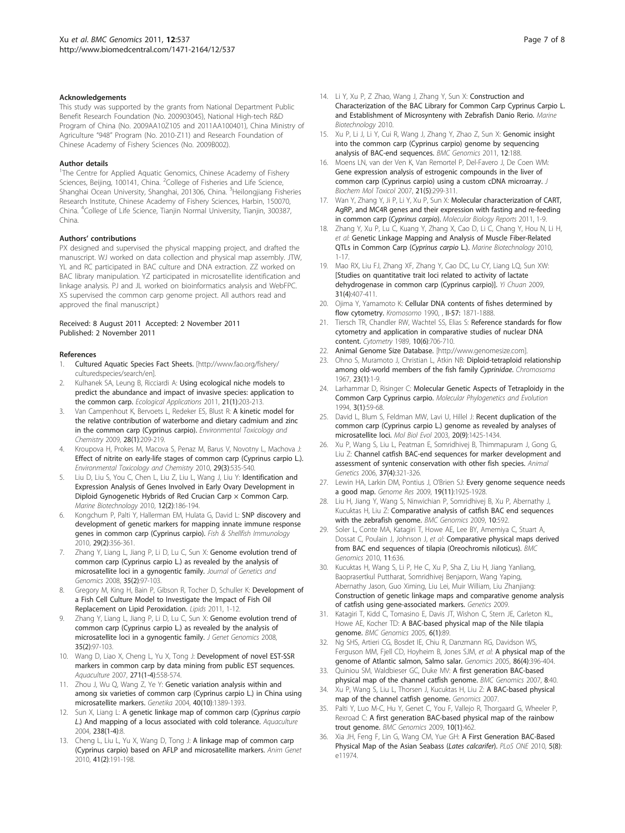#### <span id="page-6-0"></span>Acknowledgements

This study was supported by the grants from National Department Public Benefit Research Foundation (No. 200903045), National High-tech R&D Program of China (No. 2009AA10Z105 and 2011AA100401), China Ministry of Agriculture "948" Program (No. 2010-Z11) and Research Foundation of Chinese Academy of Fishery Sciences (No. 2009B002).

#### Author details

<sup>1</sup>The Centre for Applied Aquatic Genomics, Chinese Academy of Fishery Sciences, Beijing, 100141, China. <sup>2</sup>College of Fisheries and Life Science, Shanghai Ocean University, Shanghai, 201306, China. <sup>3</sup>Heilongjiang Fisheries Research Institute, Chinese Academy of Fishery Sciences, Harbin, 150070, China. <sup>4</sup>College of Life Science, Tianjin Normal University, Tianjin, 300387, China.

#### Authors' contributions

PX designed and supervised the physical mapping project, and drafted the manuscript. WJ worked on data collection and physical map assembly. JTW, YL and RC participated in BAC culture and DNA extraction. ZZ worked on BAC library manipulation. YZ participated in microsatellite identification and linkage analysis. PJ and JL worked on bioinformatics analysis and WebFPC. XS supervised the common carp genome project. All authors read and approved the final manuscript.)

#### Received: 8 August 2011 Accepted: 2 November 2011 Published: 2 November 2011

#### References

- 1. Cultured Aquatic Species Fact Sheets. [[http://www.fao.org/fishery/](http://www.fao.org/fishery/culturedspecies/search/en) [culturedspecies/search/en\]](http://www.fao.org/fishery/culturedspecies/search/en).
- 2. Kulhanek SA, Leung B, Ricciardi A: [Using ecological niche models to](http://www.ncbi.nlm.nih.gov/pubmed/21516898?dopt=Abstract) [predict the abundance and impact of invasive species: application to](http://www.ncbi.nlm.nih.gov/pubmed/21516898?dopt=Abstract) [the common carp.](http://www.ncbi.nlm.nih.gov/pubmed/21516898?dopt=Abstract) Ecological Applications 2011, 21(1):203-213.
- 3. Van Campenhout K, Bervoets L, Redeker ES, Blust R: [A kinetic model for](http://www.ncbi.nlm.nih.gov/pubmed/18712945?dopt=Abstract) [the relative contribution of waterborne and dietary cadmium and zinc](http://www.ncbi.nlm.nih.gov/pubmed/18712945?dopt=Abstract) [in the common carp \(Cyprinus carpio\).](http://www.ncbi.nlm.nih.gov/pubmed/18712945?dopt=Abstract) Environmental Toxicology and Chemistry 2009, 28(1):209-219.
- 4. Kroupova H, Prokes M, Macova S, Penaz M, Barus V, Novotny L, Machova J: [Effect of nitrite on early-life stages of common carp \(Cyprinus carpio L.\).](http://www.ncbi.nlm.nih.gov/pubmed/20821475?dopt=Abstract) Environmental Toxicology and Chemistry 2010, 29(3):535-540.
- Liu D, Liu S, You C, Chen L, Liu Z, Liu L, Wang J, Liu Y: [Identification and](http://www.ncbi.nlm.nih.gov/pubmed/19609611?dopt=Abstract) [Expression Analysis of Genes Involved in Early Ovary Development in](http://www.ncbi.nlm.nih.gov/pubmed/19609611?dopt=Abstract) [Diploid Gynogenetic Hybrids of Red Crucian Carp × Common Carp.](http://www.ncbi.nlm.nih.gov/pubmed/19609611?dopt=Abstract) Marine Biotechnology 2010, 12(2):186-194.
- 6. Kongchum P, Palti Y, Hallerman EM, Hulata G, David L: [SNP discovery and](http://www.ncbi.nlm.nih.gov/pubmed/22073796?dopt=Abstract) [development of genetic markers for mapping innate immune response](http://www.ncbi.nlm.nih.gov/pubmed/22073796?dopt=Abstract) [genes in common carp \(Cyprinus carpio\).](http://www.ncbi.nlm.nih.gov/pubmed/22073796?dopt=Abstract) Fish & Shellfish Immunology 2010, 29(2):356-361.
- 7. Zhang Y, Liang L, Jiang P, Li D, Lu C, Sun X: [Genome evolution trend of](http://www.ncbi.nlm.nih.gov/pubmed/18407057?dopt=Abstract) [common carp \(Cyprinus carpio L.\) as revealed by the analysis of](http://www.ncbi.nlm.nih.gov/pubmed/18407057?dopt=Abstract) [microsatellite loci in a gynogentic family.](http://www.ncbi.nlm.nih.gov/pubmed/18407057?dopt=Abstract) Journal of Genetics and Genomics 2008, 35(2):97-103.
- 8. Gregory M, King H, Bain P, Gibson R, Tocher D, Schuller K: Development of a Fish Cell Culture Model to Investigate the Impact of Fish Oil Replacement on Lipid Peroxidation. Lipids 2011, 1-12.
- Zhang Y, Liang L, Jiang P, Li D, Lu C, Sun X: [Genome evolution trend of](http://www.ncbi.nlm.nih.gov/pubmed/18407057?dopt=Abstract) [common carp \(Cyprinus carpio L.\) as revealed by the analysis of](http://www.ncbi.nlm.nih.gov/pubmed/18407057?dopt=Abstract) [microsatellite loci in a gynogentic family.](http://www.ncbi.nlm.nih.gov/pubmed/18407057?dopt=Abstract) J Genet Genomics 2008, 35(2):97-103.
- 10. Wang D, Liao X, Cheng L, Yu X, Tong J: Development of novel EST-SSR markers in common carp by data mining from public EST sequences. Aquaculture 2007, 271(1-4):558-574.
- 11. Zhou J, Wu Q, Wang Z, Ye Y: [Genetic variation analysis within and](http://www.ncbi.nlm.nih.gov/pubmed/15575506?dopt=Abstract) [among six varieties of common carp \(Cyprinus carpio L.\) in China using](http://www.ncbi.nlm.nih.gov/pubmed/15575506?dopt=Abstract) [microsatellite markers.](http://www.ncbi.nlm.nih.gov/pubmed/15575506?dopt=Abstract) Genetika 2004, 40(10):1389-1393.
- 12. Sun X, Liang L: A genetic linkage map of common carp (Cyprinus carpio L.) And mapping of a locus associated with cold tolerance. Aquaculture 2004, 238(1-4):8.
- 13. Cheng L, Liu L, Yu X, Wang D, Tong J: [A linkage map of common carp](http://www.ncbi.nlm.nih.gov/pubmed/19917040?dopt=Abstract) [\(Cyprinus carpio\) based on AFLP and microsatellite markers.](http://www.ncbi.nlm.nih.gov/pubmed/19917040?dopt=Abstract) Anim Genet 2010, 41(2):191-198.
- 14. Li Y, Xu P, Z Zhao, Wang J, Zhang Y, Sun X: Construction and Characterization of the BAC Library for Common Carp Cyprinus Carpio L. and Establishment of Microsynteny with Zebrafish Danio Rerio. Marine Biotechnology 2010.
- 15. Xu P, Li J, Li Y, Cui R, Wang J, Zhang Y, Zhao Z, Sun X: [Genomic insight](http://www.ncbi.nlm.nih.gov/pubmed/21492448?dopt=Abstract) [into the common carp \(Cyprinus carpio\) genome by sequencing](http://www.ncbi.nlm.nih.gov/pubmed/21492448?dopt=Abstract) [analysis of BAC-end sequences.](http://www.ncbi.nlm.nih.gov/pubmed/21492448?dopt=Abstract) BMC Genomics 2011, 12:188.
- 16. Moens LN, van der Ven K, Van Remortel P, Del-Favero J, De Coen WM: [Gene expression analysis of estrogenic compounds in the liver of](http://www.ncbi.nlm.nih.gov/pubmed/17912697?dopt=Abstract) [common carp \(Cyprinus carpio\) using a custom cDNA microarray.](http://www.ncbi.nlm.nih.gov/pubmed/17912697?dopt=Abstract) J Biochem Mol Toxicol 2007, 21(5):299-311.
- 17. Wan Y, Zhang Y, Ji P, Li Y, Xu P, Sun X: Molecular characterization of CART, AgRP, and MC4R genes and their expression with fasting and re-feeding in common carp (Cyprinus carpio). Molecular Biology Reports 2011, 1-9.
- 18. Zhang Y, Xu P, Lu C, Kuang Y, Zhang X, Cao D, Li C, Chang Y, Hou N, Li H, et al: Genetic Linkage Mapping and Analysis of Muscle Fiber-Related QTLs in Common Carp (Cyprinus carpio L.). Marine Biotechnology 2010, 1-17.
- 19. Mao RX, Liu FJ, Zhang XF, Zhang Y, Cao DC, Lu CY, Liang LQ, Sun XW: [\[Studies on quantitative trait loci related to activity of lactate](http://www.ncbi.nlm.nih.gov/pubmed/19586894?dopt=Abstract) [dehydrogenase in common carp \(Cyprinus carpio\)\].](http://www.ncbi.nlm.nih.gov/pubmed/19586894?dopt=Abstract) Yi Chuan 2009, 31(4):407-411.
- 20. Ojima Y, Yamamoto K: Cellular DNA contents of fishes determined by flow cytometry. Kromosomo 1990, , II-57: 1871-1888.
- 21. Tiersch TR, Chandler RW, Wachtel SS, Elias S: [Reference standards for flow](http://www.ncbi.nlm.nih.gov/pubmed/2582960?dopt=Abstract) [cytometry and application in comparative studies of nuclear DNA](http://www.ncbi.nlm.nih.gov/pubmed/2582960?dopt=Abstract) [content.](http://www.ncbi.nlm.nih.gov/pubmed/2582960?dopt=Abstract) Cytometry 1989, 10(6):706-710.
- 22. Animal Genome Size Database. [<http://www.genomesize.com>].
- 23. Ohno S, Muramoto J, Christian L, Atkin NB: Diploid-tetraploid relationship among old-world members of the fish family Cyprinidae. Chromosoma 1967, 23(1):1-9.
- 24. Larhammar D, Risinger C: [Molecular Genetic Aspects of Tetraploidy in the](http://www.ncbi.nlm.nih.gov/pubmed/8025730?dopt=Abstract) [Common Carp Cyprinus carpio.](http://www.ncbi.nlm.nih.gov/pubmed/8025730?dopt=Abstract) Molecular Phylogenetics and Evolution 1994, 3(1):59-68.
- 25. David L, Blum S, Feldman MW, Lavi U, Hillel J: [Recent duplication of the](http://www.ncbi.nlm.nih.gov/pubmed/12832638?dopt=Abstract) [common carp \(Cyprinus carpio L.\) genome as revealed by analyses of](http://www.ncbi.nlm.nih.gov/pubmed/12832638?dopt=Abstract) [microsatellite loci.](http://www.ncbi.nlm.nih.gov/pubmed/12832638?dopt=Abstract) Mol Biol Evol 2003, 20(9):1425-1434.
- 26. Xu P, Wang S, Liu L, Peatman E, Somridhivej B, Thimmapuram J, Gong G, Liu Z: [Channel catfish BAC-end sequences for marker development and](http://www.ncbi.nlm.nih.gov/pubmed/16879340?dopt=Abstract) [assessment of syntenic conservation with other fish species.](http://www.ncbi.nlm.nih.gov/pubmed/16879340?dopt=Abstract) Animal Genetics 2006, 37(4):321-326.
- 27. Lewin HA, Larkin DM, Pontius J, O'Brien SJ: [Every genome sequence needs](http://www.ncbi.nlm.nih.gov/pubmed/19596977?dopt=Abstract) [a good map.](http://www.ncbi.nlm.nih.gov/pubmed/19596977?dopt=Abstract) Genome Res 2009, 19(11):1925-1928.
- 28. Liu H, Jiang Y, Wang S, Ninwichian P, Somridhivej B, Xu P, Abernathy J, Kucuktas H, Liu Z: [Comparative analysis of catfish BAC end sequences](http://www.ncbi.nlm.nih.gov/pubmed/20003258?dopt=Abstract) [with the zebrafish genome.](http://www.ncbi.nlm.nih.gov/pubmed/20003258?dopt=Abstract) BMC Genomics 2009, 10:592.
- 29. Soler L, Conte MA, Katagiri T, Howe AE, Lee BY, Amemiya C, Stuart A, Dossat C, Poulain J, Johnson J, et al: Comparative [physical maps derived](http://www.ncbi.nlm.nih.gov/pubmed/21080946?dopt=Abstract) [from BAC end sequences of tilapia \(Oreochromis niloticus\).](http://www.ncbi.nlm.nih.gov/pubmed/21080946?dopt=Abstract) BMC Genomics 2010, 11:636.
- 30. Kucuktas H, Wang S, Li P, He C, Xu P, Sha Z, Liu H, Jiang Yanliang, Baoprasertkul Puttharat, Somridhivej Benjaporn, Wang Yaping, Abernathy Jason, Guo Ximing, Liu Lei, Muir William, Liu Zhanjiang: Construction of genetic linkage maps and comparative genome analysis of catfish using gene-associated markers. Genetics 2009.
- 31. Katagiri T, Kidd C, Tomasino E, Davis JT, Wishon C, Stern JE, Carleton KL, Howe AE, Kocher TD: [A BAC-based physical map of the Nile tilapia](http://www.ncbi.nlm.nih.gov/pubmed/15946383?dopt=Abstract) [genome.](http://www.ncbi.nlm.nih.gov/pubmed/15946383?dopt=Abstract) BMC Genomics 2005, 6(1):89.
- 32. Ng SHS, Artieri CG, Bosdet IE, Chiu R, Danzmann RG, Davidson WS, Ferguson MM, Fjell CD, Hoyheim B, Jones SJM, et al: [A physical map of the](http://www.ncbi.nlm.nih.gov/pubmed/16026963?dopt=Abstract) [genome of Atlantic salmon, Salmo salar.](http://www.ncbi.nlm.nih.gov/pubmed/16026963?dopt=Abstract) Genomics 2005, 86(4):396-404.
- 33. Quiniou SM, Waldbieser GC, Duke MV: [A first generation BAC-based](http://www.ncbi.nlm.nih.gov/pubmed/17284319?dopt=Abstract) [physical map of the channel catfish genome.](http://www.ncbi.nlm.nih.gov/pubmed/17284319?dopt=Abstract) BMC Genomics 2007, 8:40.
- 34. Xu P, Wang S, Liu L, Thorsen J, Kucuktas H, Liu Z: A BAC-based physical map of the channel catfish genome. Genomics 2007.
- 35. Palti Y, Luo M-C, Hu Y, Genet C, You F, Vallejo R, Thorgaard G, Wheeler P, Rexroad C: [A first generation BAC-based physical map of the rainbow](http://www.ncbi.nlm.nih.gov/pubmed/19814815?dopt=Abstract) [trout genome.](http://www.ncbi.nlm.nih.gov/pubmed/19814815?dopt=Abstract) BMC Genomics 2009, 10(1):462.
- Xia JH, Feng F, Lin G, Wang CM, Yue GH: [A First Generation BAC-Based](http://www.ncbi.nlm.nih.gov/pubmed/20700486?dopt=Abstract) [Physical Map of the Asian Seabass \(](http://www.ncbi.nlm.nih.gov/pubmed/20700486?dopt=Abstract)Lates calcarifer). PLoS ONE 2010, 5(8): e11974.